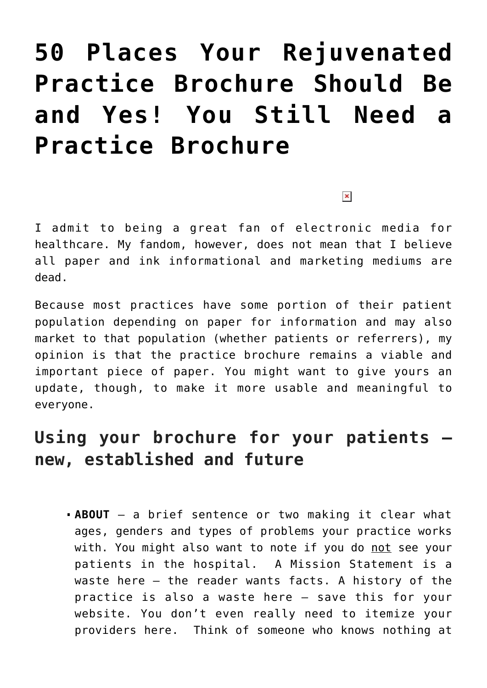## **[50 Places Your Rejuvenated](https://managemypractice.com/50-places-your-rejuvinated-practice-brochure-should-be-and-yes-you-still-need-a-practice-brochure/) [Practice Brochure Should Be](https://managemypractice.com/50-places-your-rejuvinated-practice-brochure-should-be-and-yes-you-still-need-a-practice-brochure/) [and Yes! You Still Need a](https://managemypractice.com/50-places-your-rejuvinated-practice-brochure-should-be-and-yes-you-still-need-a-practice-brochure/) [Practice Brochure](https://managemypractice.com/50-places-your-rejuvinated-practice-brochure-should-be-and-yes-you-still-need-a-practice-brochure/)**

 $\pmb{\times}$ 

I admit to being a great fan of electronic media for healthcare. My fandom, however, does not mean that I believe all paper and ink informational and marketing mediums are dead.

Because most practices have some portion of their patient population depending on paper for information and may also market to that population (whether patients or referrers), my opinion is that the practice brochure remains a viable and important piece of paper. You might want to give yours an update, though, to make it more usable and meaningful to everyone.

## **Using your brochure for your patients – new, established and future**

**ABOUT** – a brief sentence or two making it clear what ages, genders and types of problems your practice works with. You might also want to note if you do not see your patients in the hospital. A Mission Statement is a waste here – the reader wants facts. A history of the practice is also a waste here – save this for your website. You don't even really need to itemize your providers here. Think of someone who knows nothing at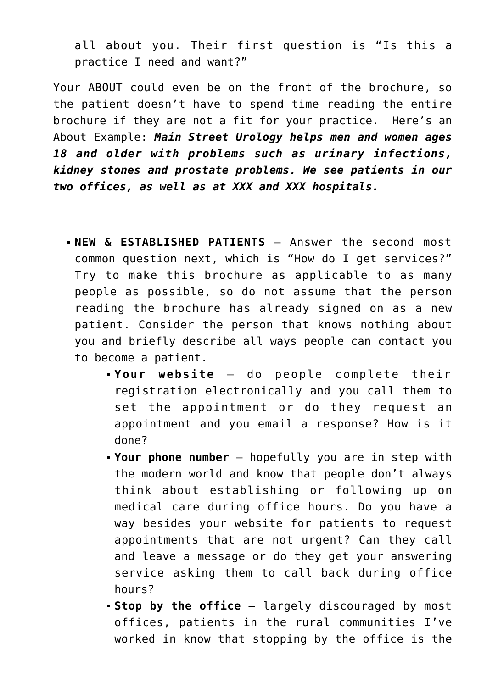all about you. Their first question is "Is this a practice I need and want?"

Your ABOUT could even be on the front of the brochure, so the patient doesn't have to spend time reading the entire brochure if they are not a fit for your practice. Here's an About Example: *Main Street Urology helps men and women ages 18 and older with problems such as urinary infections, kidney stones and prostate problems. We see patients in our two offices, as well as at XXX and XXX hospitals.*

- **NEW & ESTABLISHED PATIENTS** Answer the second most common question next, which is "How do I get services?" Try to make this brochure as applicable to as many people as possible, so do not assume that the person reading the brochure has already signed on as a new patient. Consider the person that knows nothing about you and briefly describe all ways people can contact you to become a patient.
	- **Your website** do people complete their registration electronically and you call them to set the appointment or do they request an appointment and you email a response? How is it done?
	- **Your phone number** hopefully you are in step with the modern world and know that people don't always think about establishing or following up on medical care during office hours. Do you have a way besides your website for patients to request appointments that are not urgent? Can they call and leave a message or do they get your answering service asking them to call back during office hours?
	- **Stop by the office** largely discouraged by most offices, patients in the rural communities I've worked in know that stopping by the office is the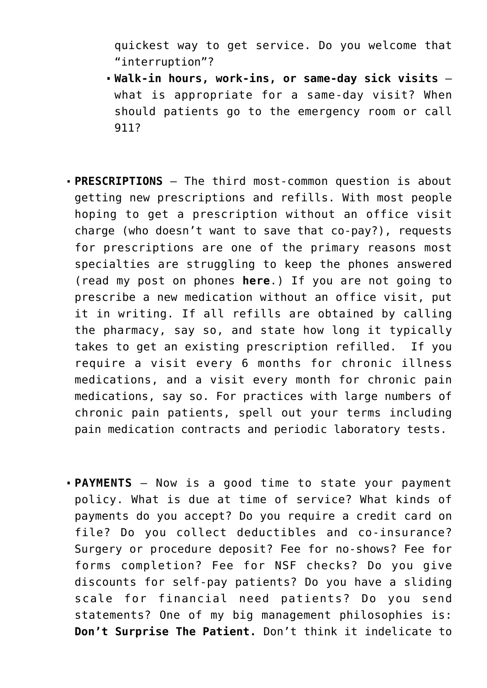quickest way to get service. Do you welcome that "interruption"?

- **Walk-in hours, work-ins, or same-day sick visits** what is appropriate for a same-day visit? When should patients go to the emergency room or call 911?
- **PRESCRIPTIONS** The third most-common question is about getting new prescriptions and refills. With most people hoping to get a prescription without an office visit charge (who doesn't want to save that co-pay?), requests for prescriptions are one of the primary reasons most specialties are struggling to keep the phones answered (read my post on phones **[here](https://managemypractice.com/six-reasons-why-your-doctors-office-doesnt-call-you-back-and-a-few-solutions/)**.) If you are not going to prescribe a new medication without an office visit, put it in writing. If all refills are obtained by calling the pharmacy, say so, and state how long it typically takes to get an existing prescription refilled. If you require a visit every 6 months for chronic illness medications, and a visit every month for chronic pain medications, say so. For practices with large numbers of chronic pain patients, spell out your terms including pain medication contracts and periodic laboratory tests.
- **PAYMENTS** Now is a good time to state your payment policy. What is due at time of service? What kinds of payments do you accept? Do you require a credit card on file? Do you collect deductibles and co-insurance? Surgery or procedure deposit? Fee for no-shows? Fee for forms completion? Fee for NSF checks? Do you give discounts for self-pay patients? Do you have a sliding scale for financial need patients? Do you send statements? One of my big management philosophies is: **Don't Surprise The Patient.** Don't think it indelicate to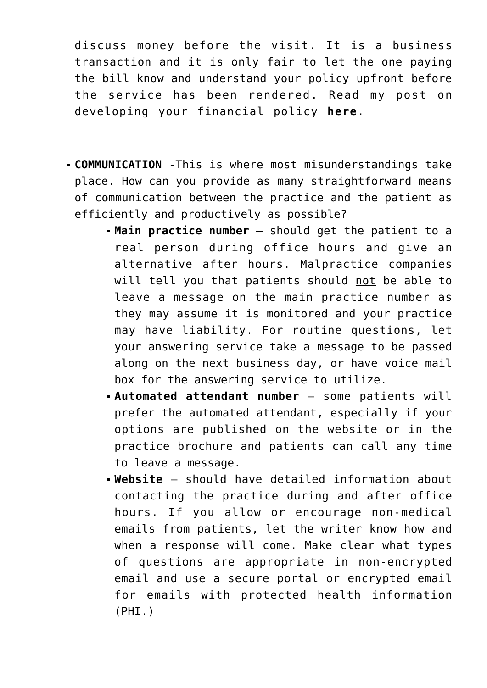discuss money before the visit. It is a business transaction and it is only fair to let the one paying the bill know and understand your policy upfront before the service has been rendered. Read my post on developing your financial policy **[here](https://managemypractice.com/how-to-develop-a-new-financial-policy-for-your-practice-a-short-course/)**.

- **COMMUNICATION** -This is where most misunderstandings take place. How can you provide as many straightforward means of communication between the practice and the patient as efficiently and productively as possible?
	- **Main practice number** should get the patient to a real person during office hours and give an alternative after hours. Malpractice companies will tell you that patients should not be able to leave a message on the main practice number as they may assume it is monitored and your practice may have liability. For routine questions, let your answering service take a message to be passed along on the next business day, or have voice mail box for the answering service to utilize.
	- **Automated attendant number** some patients will prefer the automated attendant, especially if your options are published on the website or in the practice brochure and patients can call any time to leave a message.
	- **Website** should have detailed information about contacting the practice during and after office hours. If you allow or encourage non-medical emails from patients, let the writer know how and when a response will come. Make clear what types of questions are appropriate in non-encrypted email and use a secure portal or encrypted email for emails with protected health information (PHI.)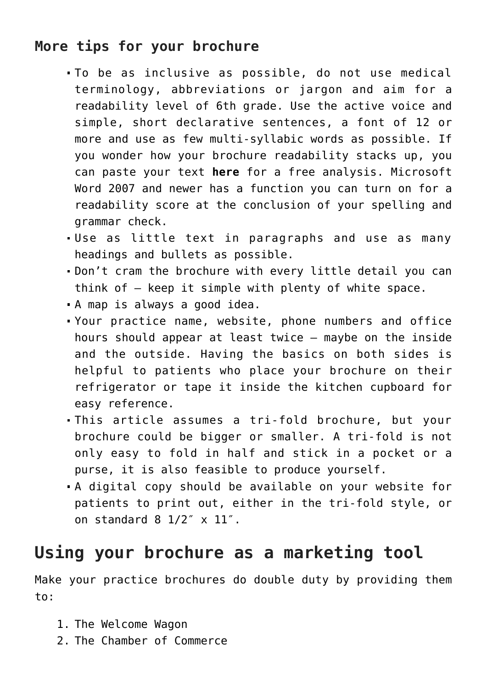## **More tips for your brochure**

- To be as inclusive as possible, do not use medical terminology, abbreviations or jargon and aim for a readability level of 6th grade. Use the active voice and simple, short declarative sentences, a font of 12 or more and use as few multi-syllabic words as possible. If you wonder how your brochure readability stacks up, you can paste your text **[here](http://www.readabilityformulas.com/free-readability-formula-assessment.php)** for a free analysis. Microsoft Word 2007 and newer has a function you can turn on for a readability score at the conclusion of your spelling and grammar check.
- Use as little text in paragraphs and use as many headings and bullets as possible.
- Don't cram the brochure with every little detail you can think of – keep it simple with plenty of white space.
- A map is always a good idea.
- Your practice name, website, phone numbers and office hours should appear at least twice – maybe on the inside and the outside. Having the basics on both sides is helpful to patients who place your brochure on their refrigerator or tape it inside the kitchen cupboard for easy reference.
- This article assumes a tri-fold brochure, but your brochure could be bigger or smaller. A tri-fold is not only easy to fold in half and stick in a pocket or a purse, it is also feasible to produce yourself.
- A digital copy should be available on your website for patients to print out, either in the tri-fold style, or on standard 8 1/2″ x 11″.

## **Using your brochure as a marketing tool**

Make your practice brochures do double duty by providing them to:

- 1. The Welcome Wagon
- 2. The Chamber of Commerce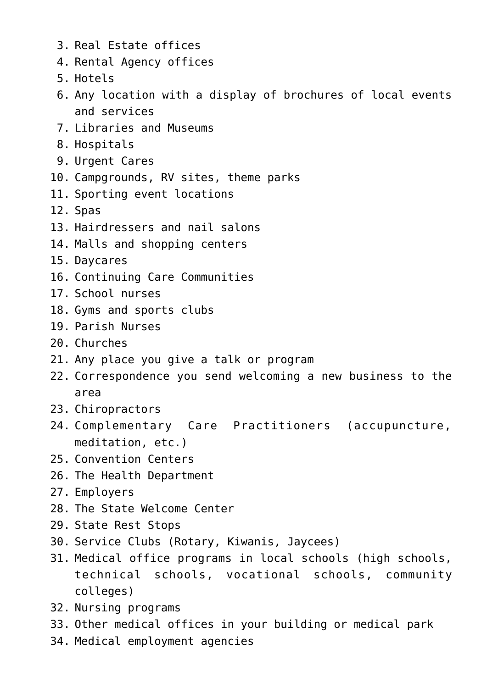- 3. Real Estate offices
- 4. Rental Agency offices
- 5. Hotels
- 6. Any location with a display of brochures of local events and services
- 7. Libraries and Museums
- 8. Hospitals
- 9. Urgent Cares
- 10. Campgrounds, RV sites, theme parks
- 11. Sporting event locations
- 12. Spas
- 13. Hairdressers and nail salons
- 14. Malls and shopping centers
- 15. Daycares
- 16. Continuing Care Communities
- 17. School nurses
- 18. Gyms and sports clubs
- 19. Parish Nurses
- 20. Churches
- 21. Any place you give a talk or program
- 22. Correspondence you send welcoming a new business to the area
- 23. Chiropractors
- 24. Complementary Care Practitioners (accupuncture, meditation, etc.)
- 25. Convention Centers
- 26. The Health Department
- 27. Employers
- 28. The State Welcome Center
- 29. State Rest Stops
- 30. Service Clubs (Rotary, Kiwanis, Jaycees)
- 31. Medical office programs in local schools (high schools, technical schools, vocational schools, community colleges)
- 32. Nursing programs
- 33. Other medical offices in your building or medical park
- 34. Medical employment agencies